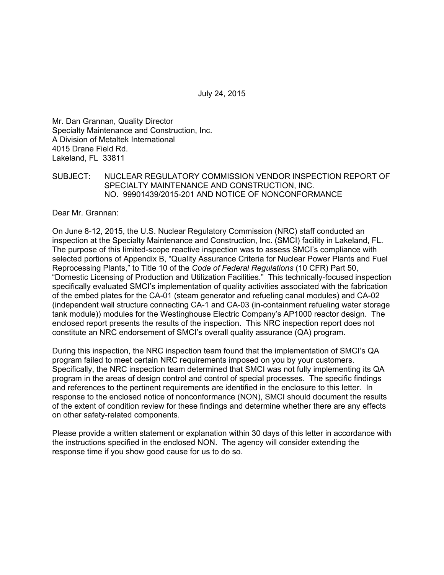July 24, 2015

Mr. Dan Grannan, Quality Director Specialty Maintenance and Construction, Inc. A Division of Metaltek International 4015 Drane Field Rd. Lakeland, FL 33811

### SUBJECT: NUCLEAR REGULATORY COMMISSION VENDOR INSPECTION REPORT OF SPECIALTY MAINTENANCE AND CONSTRUCTION, INC. NO. 99901439/2015-201 AND NOTICE OF NONCONFORMANCE

Dear Mr. Grannan:

On June 8-12, 2015, the U.S. Nuclear Regulatory Commission (NRC) staff conducted an inspection at the Specialty Maintenance and Construction, Inc. (SMCI) facility in Lakeland, FL. The purpose of this limited-scope reactive inspection was to assess SMCI's compliance with selected portions of Appendix B, "Quality Assurance Criteria for Nuclear Power Plants and Fuel Reprocessing Plants," to Title 10 of the *Code of Federal Regulations* (10 CFR) Part 50, "Domestic Licensing of Production and Utilization Facilities." This technically-focused inspection specifically evaluated SMCI's implementation of quality activities associated with the fabrication of the embed plates for the CA-01 (steam generator and refueling canal modules) and CA-02 (independent wall structure connecting CA-1 and CA-03 (in-containment refueling water storage tank module)) modules for the Westinghouse Electric Company's AP1000 reactor design. The enclosed report presents the results of the inspection. This NRC inspection report does not constitute an NRC endorsement of SMCI's overall quality assurance (QA) program.

During this inspection, the NRC inspection team found that the implementation of SMCI's QA program failed to meet certain NRC requirements imposed on you by your customers. Specifically, the NRC inspection team determined that SMCI was not fully implementing its QA program in the areas of design control and control of special processes. The specific findings and references to the pertinent requirements are identified in the enclosure to this letter. In response to the enclosed notice of nonconformance (NON), SMCI should document the results of the extent of condition review for these findings and determine whether there are any effects on other safety-related components.

Please provide a written statement or explanation within 30 days of this letter in accordance with the instructions specified in the enclosed NON. The agency will consider extending the response time if you show good cause for us to do so.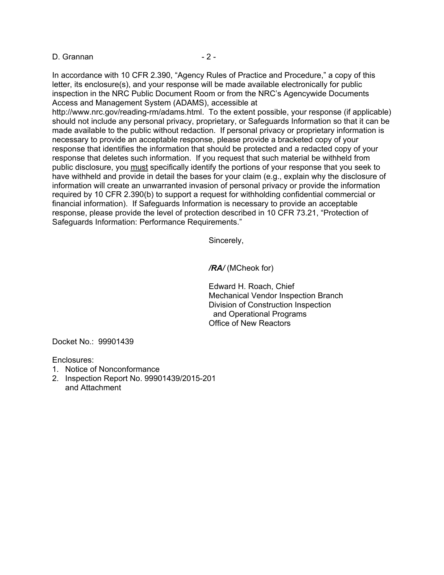#### D. Grannan - 2 -

In accordance with 10 CFR 2.390, "Agency Rules of Practice and Procedure," a copy of this letter, its enclosure(s), and your response will be made available electronically for public inspection in the NRC Public Document Room or from the NRC's Agencywide Documents Access and Management System (ADAMS), accessible at

http://www.nrc.gov/reading-rm/adams.html. To the extent possible, your response (if applicable) should not include any personal privacy, proprietary, or Safeguards Information so that it can be made available to the public without redaction. If personal privacy or proprietary information is necessary to provide an acceptable response, please provide a bracketed copy of your response that identifies the information that should be protected and a redacted copy of your response that deletes such information. If you request that such material be withheld from public disclosure, you must specifically identify the portions of your response that you seek to have withheld and provide in detail the bases for your claim (e.g., explain why the disclosure of information will create an unwarranted invasion of personal privacy or provide the information required by 10 CFR 2.390(b) to support a request for withholding confidential commercial or financial information). If Safeguards Information is necessary to provide an acceptable response, please provide the level of protection described in 10 CFR 73.21, "Protection of Safeguards Information: Performance Requirements."

Sincerely,

*/RA/* (MCheok for)

Edward H. Roach, Chief Mechanical Vendor Inspection Branch Division of Construction Inspection and Operational Programs Office of New Reactors

Docket No.: 99901439

Enclosures:

- 1. Notice of Nonconformance
- 2. Inspection Report No. 99901439/2015-201 and Attachment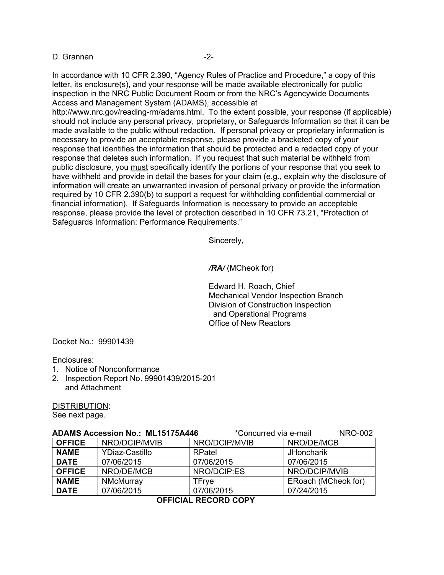#### D. Grannan -2-

In accordance with 10 CFR 2.390, "Agency Rules of Practice and Procedure," a copy of this letter, its enclosure(s), and your response will be made available electronically for public inspection in the NRC Public Document Room or from the NRC's Agencywide Documents Access and Management System (ADAMS), accessible at

http://www.nrc.gov/reading-rm/adams.html. To the extent possible, your response (if applicable) should not include any personal privacy, proprietary, or Safeguards Information so that it can be made available to the public without redaction. If personal privacy or proprietary information is necessary to provide an acceptable response, please provide a bracketed copy of your response that identifies the information that should be protected and a redacted copy of your response that deletes such information. If you request that such material be withheld from public disclosure, you must specifically identify the portions of your response that you seek to have withheld and provide in detail the bases for your claim (e.g., explain why the disclosure of information will create an unwarranted invasion of personal privacy or provide the information required by 10 CFR 2.390(b) to support a request for withholding confidential commercial or financial information). If Safeguards Information is necessary to provide an acceptable response, please provide the level of protection described in 10 CFR 73.21, "Protection of Safeguards Information: Performance Requirements."

Sincerely,

*/RA/* (MCheok for)

Edward H. Roach, Chief Mechanical Vendor Inspection Branch Division of Construction Inspection and Operational Programs Office of New Reactors

Docket No.: 99901439

Enclosures:

- 1. Notice of Nonconformance
- 2. Inspection Report No. 99901439/2015-201 and Attachment

DISTRIBUTION:

See next page.

| <b>ADAMS Accession No.: ML15175A446</b> |                | *Concurred via e-mail | <b>NRO-002</b>      |
|-----------------------------------------|----------------|-----------------------|---------------------|
| <b>OFFICE</b>                           | NRO/DCIP/MVIB  | NRO/DCIP/MVIB         | NRO/DE/MCB          |
| <b>NAME</b>                             | YDiaz-Castillo | RPatel                | <b>JHoncharik</b>   |
| <b>DATE</b>                             | 07/06/2015     | 07/06/2015            | 07/06/2015          |
| <b>OFFICE</b>                           | NRO/DE/MCB     | NRO/DCIP:ES           | NRO/DCIP/MVIB       |
| <b>NAME</b>                             | NMcMurray      | TFrve                 | ERoach (MCheok for) |
| <b>DATE</b>                             | 07/06/2015     | 07/06/2015            | 07/24/2015          |

**OFFICIAL RECORD COPY**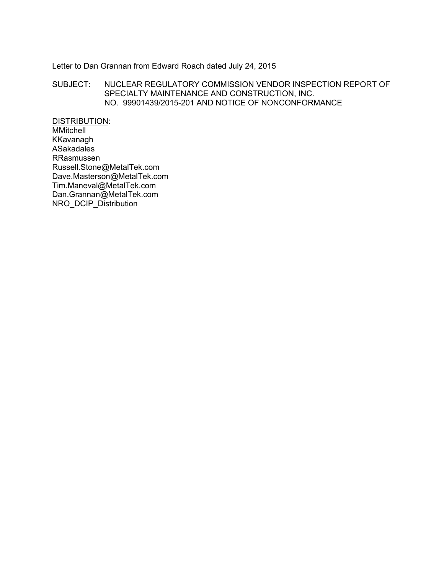### Letter to Dan Grannan from Edward Roach dated July 24, 2015

### SUBJECT: NUCLEAR REGULATORY COMMISSION VENDOR INSPECTION REPORT OF SPECIALTY MAINTENANCE AND CONSTRUCTION, INC. NO. 99901439/2015-201 AND NOTICE OF NONCONFORMANCE

DISTRIBUTION: MMitchell KKavanagh ASakadales RRasmussen Russell.Stone@MetalTek.com Dave.Masterson@MetalTek.com Tim.Maneval@MetalTek.com Dan.Grannan@MetalTek.com NRO\_DCIP\_Distribution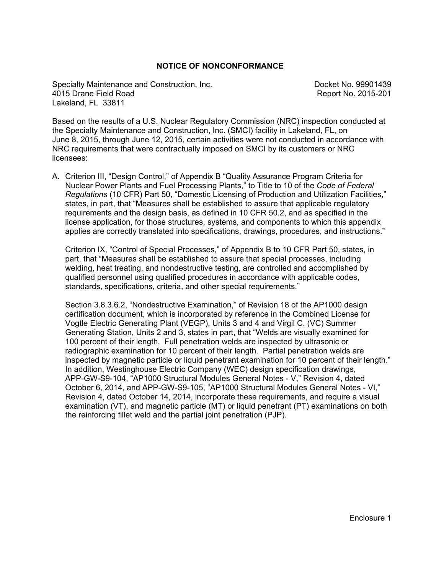### **NOTICE OF NONCONFORMANCE**

Specialty Maintenance and Construction, Inc. The Construction of the Docket No. 99901439 4015 Drane Field Road Report No. 2015-201 Lakeland, FL 33811

Based on the results of a U.S. Nuclear Regulatory Commission (NRC) inspection conducted at the Specialty Maintenance and Construction, Inc. (SMCI) facility in Lakeland, FL, on June 8, 2015, through June 12, 2015, certain activities were not conducted in accordance with NRC requirements that were contractually imposed on SMCI by its customers or NRC licensees:

A. Criterion III, "Design Control," of Appendix B "Quality Assurance Program Criteria for Nuclear Power Plants and Fuel Processing Plants," to Title to 10 of the *Code of Federal Regulations* (10 CFR) Part 50, "Domestic Licensing of Production and Utilization Facilities," states, in part, that "Measures shall be established to assure that applicable regulatory requirements and the design basis, as defined in 10 CFR 50.2, and as specified in the license application, for those structures, systems, and components to which this appendix applies are correctly translated into specifications, drawings, procedures, and instructions."

Criterion IX, "Control of Special Processes," of Appendix B to 10 CFR Part 50, states, in part, that "Measures shall be established to assure that special processes, including welding, heat treating, and nondestructive testing, are controlled and accomplished by qualified personnel using qualified procedures in accordance with applicable codes, standards, specifications, criteria, and other special requirements."

Section 3.8.3.6.2, "Nondestructive Examination," of Revision 18 of the AP1000 design certification document, which is incorporated by reference in the Combined License for Vogtle Electric Generating Plant (VEGP), Units 3 and 4 and Virgil C. (VC) Summer Generating Station, Units 2 and 3, states in part, that "Welds are visually examined for 100 percent of their length. Full penetration welds are inspected by ultrasonic or radiographic examination for 10 percent of their length. Partial penetration welds are inspected by magnetic particle or liquid penetrant examination for 10 percent of their length." In addition, Westinghouse Electric Company (WEC) design specification drawings, APP-GW-S9-104, "AP1000 Structural Modules General Notes - V," Revision 4, dated October 6, 2014, and APP-GW-S9-105, "AP1000 Structural Modules General Notes - VI," Revision 4, dated October 14, 2014, incorporate these requirements, and require a visual examination (VT), and magnetic particle (MT) or liquid penetrant (PT) examinations on both the reinforcing fillet weld and the partial joint penetration (PJP).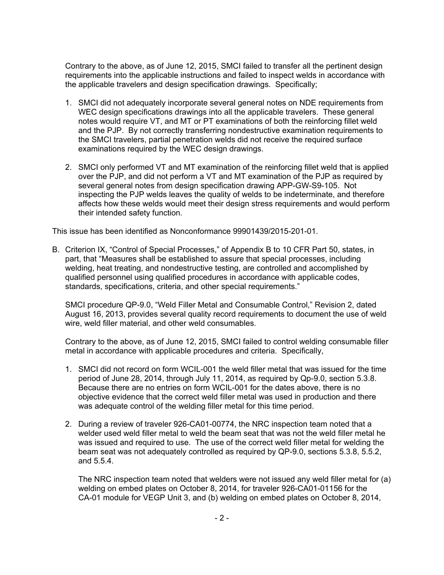Contrary to the above, as of June 12, 2015, SMCI failed to transfer all the pertinent design requirements into the applicable instructions and failed to inspect welds in accordance with the applicable travelers and design specification drawings. Specifically;

- 1. SMCI did not adequately incorporate several general notes on NDE requirements from WEC design specifications drawings into all the applicable travelers. These general notes would require VT, and MT or PT examinations of both the reinforcing fillet weld and the PJP. By not correctly transferring nondestructive examination requirements to the SMCI travelers, partial penetration welds did not receive the required surface examinations required by the WEC design drawings.
- 2. SMCI only performed VT and MT examination of the reinforcing fillet weld that is applied over the PJP, and did not perform a VT and MT examination of the PJP as required by several general notes from design specification drawing APP-GW-S9-105. Not inspecting the PJP welds leaves the quality of welds to be indeterminate, and therefore affects how these welds would meet their design stress requirements and would perform their intended safety function.

This issue has been identified as Nonconformance 99901439/2015-201-01.

B. Criterion IX, "Control of Special Processes," of Appendix B to 10 CFR Part 50, states, in part, that "Measures shall be established to assure that special processes, including welding, heat treating, and nondestructive testing, are controlled and accomplished by qualified personnel using qualified procedures in accordance with applicable codes, standards, specifications, criteria, and other special requirements."

SMCI procedure QP-9.0, "Weld Filler Metal and Consumable Control," Revision 2, dated August 16, 2013, provides several quality record requirements to document the use of weld wire, weld filler material, and other weld consumables.

Contrary to the above, as of June 12, 2015, SMCI failed to control welding consumable filler metal in accordance with applicable procedures and criteria. Specifically,

- 1. SMCI did not record on form WCIL-001 the weld filler metal that was issued for the time period of June 28, 2014, through July 11, 2014, as required by Qp-9.0, section 5.3.8. Because there are no entries on form WCIL-001 for the dates above, there is no objective evidence that the correct weld filler metal was used in production and there was adequate control of the welding filler metal for this time period.
- 2. During a review of traveler 926-CA01-00774, the NRC inspection team noted that a welder used weld filler metal to weld the beam seat that was not the weld filler metal he was issued and required to use. The use of the correct weld filler metal for welding the beam seat was not adequately controlled as required by QP-9.0, sections 5.3.8, 5.5.2, and 5.5.4.

The NRC inspection team noted that welders were not issued any weld filler metal for (a) welding on embed plates on October 8, 2014, for traveler 926-CA01-01156 for the CA-01 module for VEGP Unit 3, and (b) welding on embed plates on October 8, 2014,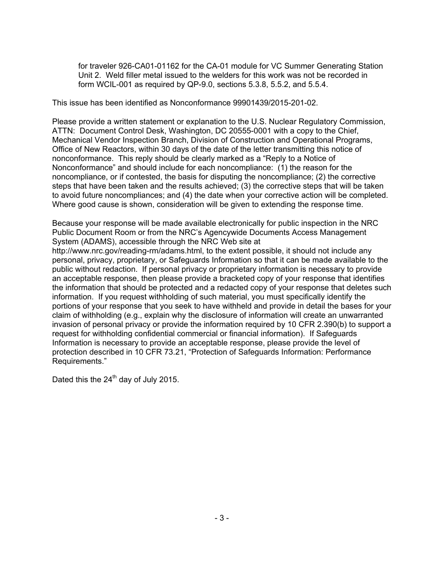for traveler 926-CA01-01162 for the CA-01 module for VC Summer Generating Station Unit 2. Weld filler metal issued to the welders for this work was not be recorded in form WCIL-001 as required by QP-9.0, sections 5.3.8, 5.5.2, and 5.5.4.

This issue has been identified as Nonconformance 99901439/2015-201-02.

Please provide a written statement or explanation to the U.S. Nuclear Regulatory Commission, ATTN: Document Control Desk, Washington, DC 20555-0001 with a copy to the Chief, Mechanical Vendor Inspection Branch, Division of Construction and Operational Programs, Office of New Reactors, within 30 days of the date of the letter transmitting this notice of nonconformance. This reply should be clearly marked as a "Reply to a Notice of Nonconformance" and should include for each noncompliance: (1) the reason for the noncompliance, or if contested, the basis for disputing the noncompliance; (2) the corrective steps that have been taken and the results achieved; (3) the corrective steps that will be taken to avoid future noncompliances; and (4) the date when your corrective action will be completed. Where good cause is shown, consideration will be given to extending the response time.

Because your response will be made available electronically for public inspection in the NRC Public Document Room or from the NRC's Agencywide Documents Access Management System (ADAMS), accessible through the NRC Web site at http://www.nrc.gov/reading-rm/adams.html, to the extent possible, it should not include any personal, privacy, proprietary, or Safeguards Information so that it can be made available to the public without redaction. If personal privacy or proprietary information is necessary to provide an acceptable response, then please provide a bracketed copy of your response that identifies the information that should be protected and a redacted copy of your response that deletes such information. If you request withholding of such material, you must specifically identify the portions of your response that you seek to have withheld and provide in detail the bases for your claim of withholding (e.g., explain why the disclosure of information will create an unwarranted invasion of personal privacy or provide the information required by 10 CFR 2.390(b) to support a request for withholding confidential commercial or financial information). If Safeguards Information is necessary to provide an acceptable response, please provide the level of protection described in 10 CFR 73.21, "Protection of Safeguards Information: Performance Requirements."

Dated this the  $24<sup>th</sup>$  day of July 2015.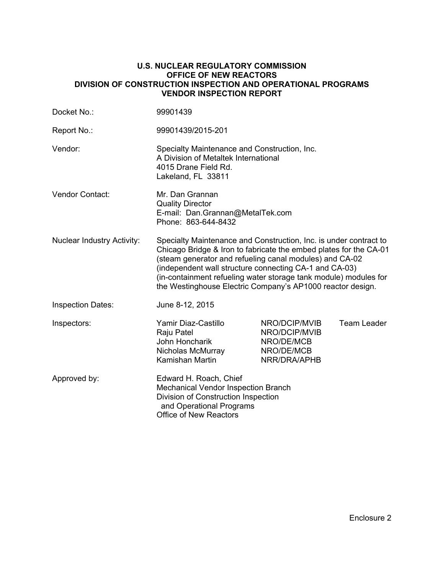#### **U.S. NUCLEAR REGULATORY COMMISSION OFFICE OF NEW REACTORS DIVISION OF CONSTRUCTION INSPECTION AND OPERATIONAL PROGRAMS VENDOR INSPECTION REPORT**

| Docket No.:                       | 99901439                                                                                                                                                                                                                                                                                                                                                                                      |                                                                            |                    |  |
|-----------------------------------|-----------------------------------------------------------------------------------------------------------------------------------------------------------------------------------------------------------------------------------------------------------------------------------------------------------------------------------------------------------------------------------------------|----------------------------------------------------------------------------|--------------------|--|
| Report No.:                       | 99901439/2015-201                                                                                                                                                                                                                                                                                                                                                                             |                                                                            |                    |  |
| Vendor:                           | Specialty Maintenance and Construction, Inc.<br>A Division of Metaltek International<br>4015 Drane Field Rd.<br>Lakeland, FL 33811                                                                                                                                                                                                                                                            |                                                                            |                    |  |
| Vendor Contact:                   | Mr. Dan Grannan<br><b>Quality Director</b><br>E-mail: Dan.Grannan@MetalTek.com<br>Phone: 863-644-8432                                                                                                                                                                                                                                                                                         |                                                                            |                    |  |
| <b>Nuclear Industry Activity:</b> | Specialty Maintenance and Construction, Inc. is under contract to<br>Chicago Bridge & Iron to fabricate the embed plates for the CA-01<br>(steam generator and refueling canal modules) and CA-02<br>(independent wall structure connecting CA-1 and CA-03)<br>(in-containment refueling water storage tank module) modules for<br>the Westinghouse Electric Company's AP1000 reactor design. |                                                                            |                    |  |
| <b>Inspection Dates:</b>          | June 8-12, 2015                                                                                                                                                                                                                                                                                                                                                                               |                                                                            |                    |  |
| Inspectors:                       | Yamir Diaz-Castillo<br>Raju Patel<br>John Honcharik<br>Nicholas McMurray<br>Kamishan Martin                                                                                                                                                                                                                                                                                                   | NRO/DCIP/MVIB<br>NRO/DCIP/MVIB<br>NRO/DE/MCB<br>NRO/DE/MCB<br>NRR/DRA/APHB | <b>Team Leader</b> |  |
| Approved by:                      | Edward H. Roach, Chief<br>Mechanical Vendor Inspection Branch<br>Division of Construction Inspection<br>and Operational Programs<br><b>Office of New Reactors</b>                                                                                                                                                                                                                             |                                                                            |                    |  |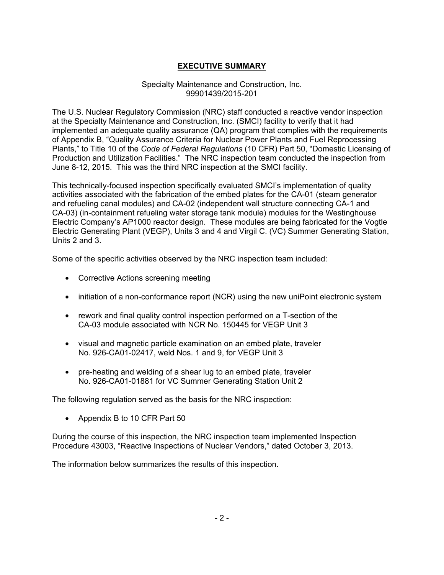# **EXECUTIVE SUMMARY**

### Specialty Maintenance and Construction, Inc. 99901439/2015-201

The U.S. Nuclear Regulatory Commission (NRC) staff conducted a reactive vendor inspection at the Specialty Maintenance and Construction, Inc. (SMCI) facility to verify that it had implemented an adequate quality assurance (QA) program that complies with the requirements of Appendix B, "Quality Assurance Criteria for Nuclear Power Plants and Fuel Reprocessing Plants," to Title 10 of the *Code of Federal Regulations* (10 CFR) Part 50, "Domestic Licensing of Production and Utilization Facilities." The NRC inspection team conducted the inspection from June 8-12, 2015. This was the third NRC inspection at the SMCI facility.

This technically-focused inspection specifically evaluated SMCI's implementation of quality activities associated with the fabrication of the embed plates for the CA-01 (steam generator and refueling canal modules) and CA-02 (independent wall structure connecting CA-1 and CA-03) (in-containment refueling water storage tank module) modules for the Westinghouse Electric Company's AP1000 reactor design. These modules are being fabricated for the Vogtle Electric Generating Plant (VEGP), Units 3 and 4 and Virgil C. (VC) Summer Generating Station, Units 2 and 3.

Some of the specific activities observed by the NRC inspection team included:

- Corrective Actions screening meeting
- initiation of a non-conformance report (NCR) using the new uniPoint electronic system
- rework and final quality control inspection performed on a T-section of the CA-03 module associated with NCR No. 150445 for VEGP Unit 3
- visual and magnetic particle examination on an embed plate, traveler No. 926-CA01-02417, weld Nos. 1 and 9, for VEGP Unit 3
- pre-heating and welding of a shear lug to an embed plate, traveler No. 926-CA01-01881 for VC Summer Generating Station Unit 2

The following regulation served as the basis for the NRC inspection:

• Appendix B to 10 CFR Part 50

During the course of this inspection, the NRC inspection team implemented Inspection Procedure 43003, "Reactive Inspections of Nuclear Vendors," dated October 3, 2013.

The information below summarizes the results of this inspection.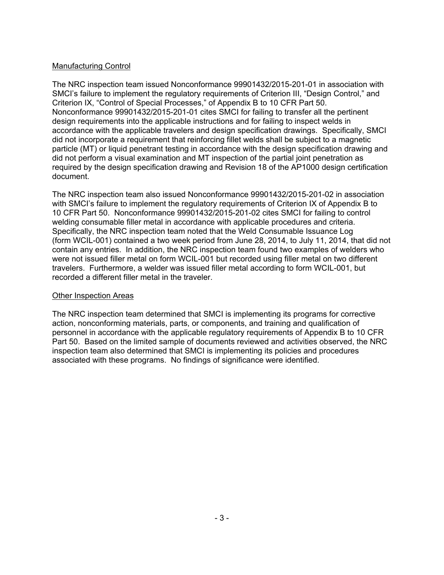## Manufacturing Control

The NRC inspection team issued Nonconformance 99901432/2015-201-01 in association with SMCI's failure to implement the regulatory requirements of Criterion III, "Design Control," and Criterion IX, "Control of Special Processes," of Appendix B to 10 CFR Part 50. Nonconformance 99901432/2015-201-01 cites SMCI for failing to transfer all the pertinent design requirements into the applicable instructions and for failing to inspect welds in accordance with the applicable travelers and design specification drawings. Specifically, SMCI did not incorporate a requirement that reinforcing fillet welds shall be subject to a magnetic particle (MT) or liquid penetrant testing in accordance with the design specification drawing and did not perform a visual examination and MT inspection of the partial joint penetration as required by the design specification drawing and Revision 18 of the AP1000 design certification document.

The NRC inspection team also issued Nonconformance 99901432/2015-201-02 in association with SMCI's failure to implement the regulatory requirements of Criterion IX of Appendix B to 10 CFR Part 50. Nonconformance 99901432/2015-201-02 cites SMCI for failing to control welding consumable filler metal in accordance with applicable procedures and criteria. Specifically, the NRC inspection team noted that the Weld Consumable Issuance Log (form WCIL-001) contained a two week period from June 28, 2014, to July 11, 2014, that did not contain any entries. In addition, the NRC inspection team found two examples of welders who were not issued filler metal on form WCIL-001 but recorded using filler metal on two different travelers. Furthermore, a welder was issued filler metal according to form WCIL-001, but recorded a different filler metal in the traveler.

## Other Inspection Areas

The NRC inspection team determined that SMCI is implementing its programs for corrective action, nonconforming materials, parts, or components, and training and qualification of personnel in accordance with the applicable regulatory requirements of Appendix B to 10 CFR Part 50. Based on the limited sample of documents reviewed and activities observed, the NRC inspection team also determined that SMCI is implementing its policies and procedures associated with these programs. No findings of significance were identified.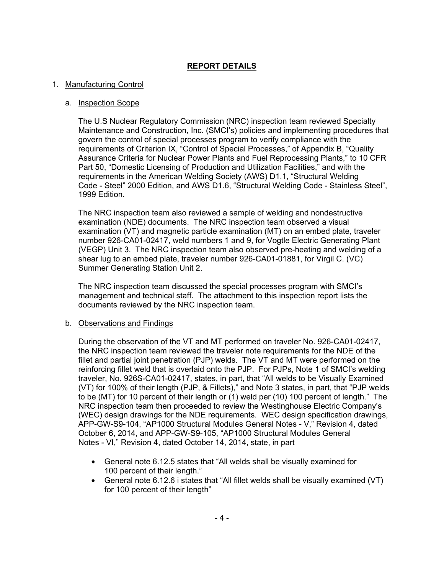## **REPORT DETAILS**

### 1. Manufacturing Control

### a. Inspection Scope

The U.S Nuclear Regulatory Commission (NRC) inspection team reviewed Specialty Maintenance and Construction, Inc. (SMCI's) policies and implementing procedures that govern the control of special processes program to verify compliance with the requirements of Criterion IX, "Control of Special Processes," of Appendix B, "Quality Assurance Criteria for Nuclear Power Plants and Fuel Reprocessing Plants," to 10 CFR Part 50, "Domestic Licensing of Production and Utilization Facilities," and with the requirements in the American Welding Society (AWS) D1.1, "Structural Welding Code - Steel" 2000 Edition, and AWS D1.6, "Structural Welding Code - Stainless Steel", 1999 Edition.

The NRC inspection team also reviewed a sample of welding and nondestructive examination (NDE) documents. The NRC inspection team observed a visual examination (VT) and magnetic particle examination (MT) on an embed plate, traveler number 926-CA01-02417, weld numbers 1 and 9, for Vogtle Electric Generating Plant (VEGP) Unit 3. The NRC inspection team also observed pre-heating and welding of a shear lug to an embed plate, traveler number 926-CA01-01881, for Virgil C. (VC) Summer Generating Station Unit 2.

The NRC inspection team discussed the special processes program with SMCI's management and technical staff. The attachment to this inspection report lists the documents reviewed by the NRC inspection team.

#### b. Observations and Findings

During the observation of the VT and MT performed on traveler No. 926-CA01-02417, the NRC inspection team reviewed the traveler note requirements for the NDE of the fillet and partial joint penetration (PJP) welds. The VT and MT were performed on the reinforcing fillet weld that is overlaid onto the PJP. For PJPs, Note 1 of SMCI's welding traveler, No. 926S-CA01-02417, states, in part, that "All welds to be Visually Examined (VT) for 100% of their length (PJP, & Fillets)," and Note 3 states, in part, that "PJP welds to be (MT) for 10 percent of their length or (1) weld per (10) 100 percent of length." The NRC inspection team then proceeded to review the Westinghouse Electric Company's (WEC) design drawings for the NDE requirements. WEC design specification drawings, APP-GW-S9-104, "AP1000 Structural Modules General Notes - V," Revision 4, dated October 6, 2014, and APP-GW-S9-105, "AP1000 Structural Modules General Notes - VI," Revision 4, dated October 14, 2014, state, in part

- General note 6.12.5 states that "All welds shall be visually examined for 100 percent of their length."
- General note 6.12.6 i states that "All fillet welds shall be visually examined (VT) for 100 percent of their length"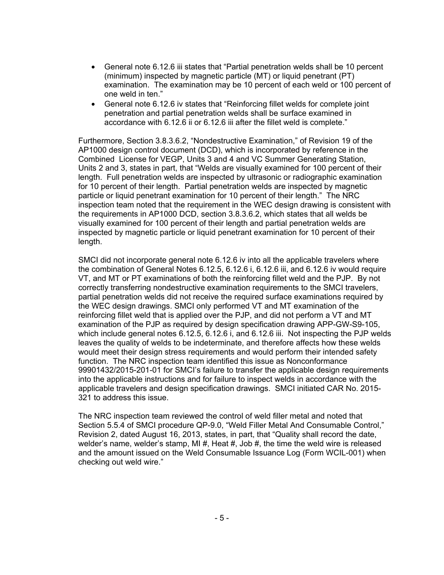- General note 6.12.6 iii states that "Partial penetration welds shall be 10 percent (minimum) inspected by magnetic particle (MT) or liquid penetrant (PT) examination. The examination may be 10 percent of each weld or 100 percent of one weld in ten."
- General note 6.12.6 iv states that "Reinforcing fillet welds for complete joint penetration and partial penetration welds shall be surface examined in accordance with 6.12.6 ii or 6.12.6 iii after the fillet weld is complete."

Furthermore, Section 3.8.3.6.2, "Nondestructive Examination," of Revision 19 of the AP1000 design control document (DCD), which is incorporated by reference in the Combined License for VEGP, Units 3 and 4 and VC Summer Generating Station, Units 2 and 3, states in part, that "Welds are visually examined for 100 percent of their length. Full penetration welds are inspected by ultrasonic or radiographic examination for 10 percent of their length. Partial penetration welds are inspected by magnetic particle or liquid penetrant examination for 10 percent of their length." The NRC inspection team noted that the requirement in the WEC design drawing is consistent with the requirements in AP1000 DCD, section 3.8.3.6.2, which states that all welds be visually examined for 100 percent of their length and partial penetration welds are inspected by magnetic particle or liquid penetrant examination for 10 percent of their length.

SMCI did not incorporate general note 6.12.6 iv into all the applicable travelers where the combination of General Notes 6.12.5, 6.12.6 i, 6.12.6 iii, and 6.12.6 iv would require VT, and MT or PT examinations of both the reinforcing fillet weld and the PJP. By not correctly transferring nondestructive examination requirements to the SMCI travelers, partial penetration welds did not receive the required surface examinations required by the WEC design drawings. SMCI only performed VT and MT examination of the reinforcing fillet weld that is applied over the PJP, and did not perform a VT and MT examination of the PJP as required by design specification drawing APP-GW-S9-105, which include general notes 6.12.5, 6.12.6 i, and 6.12.6 iii. Not inspecting the PJP welds leaves the quality of welds to be indeterminate, and therefore affects how these welds would meet their design stress requirements and would perform their intended safety function. The NRC inspection team identified this issue as Nonconformance 99901432/2015-201-01 for SMCI's failure to transfer the applicable design requirements into the applicable instructions and for failure to inspect welds in accordance with the applicable travelers and design specification drawings. SMCI initiated CAR No. 2015- 321 to address this issue.

The NRC inspection team reviewed the control of weld filler metal and noted that Section 5.5.4 of SMCI procedure QP-9.0, "Weld Filler Metal And Consumable Control," Revision 2, dated August 16, 2013, states, in part, that "Quality shall record the date, welder's name, welder's stamp, MI  $#$ , Heat  $#$ , Job  $#$ , the time the weld wire is released and the amount issued on the Weld Consumable Issuance Log (Form WCIL-001) when checking out weld wire."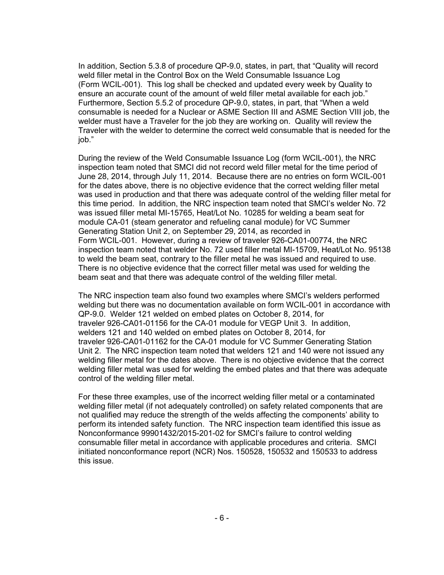In addition, Section 5.3.8 of procedure QP-9.0, states, in part, that "Quality will record weld filler metal in the Control Box on the Weld Consumable Issuance Log (Form WCIL-001). This log shall be checked and updated every week by Quality to ensure an accurate count of the amount of weld filler metal available for each job." Furthermore, Section 5.5.2 of procedure QP-9.0, states, in part, that "When a weld consumable is needed for a Nuclear or ASME Section III and ASME Section VIII job, the welder must have a Traveler for the job they are working on. Quality will review the Traveler with the welder to determine the correct weld consumable that is needed for the job."

During the review of the Weld Consumable Issuance Log (form WCIL-001), the NRC inspection team noted that SMCI did not record weld filler metal for the time period of June 28, 2014, through July 11, 2014. Because there are no entries on form WCIL-001 for the dates above, there is no objective evidence that the correct welding filler metal was used in production and that there was adequate control of the welding filler metal for this time period. In addition, the NRC inspection team noted that SMCI's welder No. 72 was issued filler metal MI-15765, Heat/Lot No. 10285 for welding a beam seat for module CA-01 (steam generator and refueling canal module) for VC Summer Generating Station Unit 2, on September 29, 2014, as recorded in Form WCIL-001. However, during a review of traveler 926-CA01-00774, the NRC inspection team noted that welder No. 72 used filler metal MI-15709, Heat/Lot No. 95138 to weld the beam seat, contrary to the filler metal he was issued and required to use. There is no objective evidence that the correct filler metal was used for welding the beam seat and that there was adequate control of the welding filler metal.

The NRC inspection team also found two examples where SMCI's welders performed welding but there was no documentation available on form WCIL-001 in accordance with QP-9.0. Welder 121 welded on embed plates on October 8, 2014, for traveler 926-CA01-01156 for the CA-01 module for VEGP Unit 3. In addition, welders 121 and 140 welded on embed plates on October 8, 2014, for traveler 926-CA01-01162 for the CA-01 module for VC Summer Generating Station Unit 2. The NRC inspection team noted that welders 121 and 140 were not issued any welding filler metal for the dates above. There is no objective evidence that the correct welding filler metal was used for welding the embed plates and that there was adequate control of the welding filler metal.

For these three examples, use of the incorrect welding filler metal or a contaminated welding filler metal (if not adequately controlled) on safety related components that are not qualified may reduce the strength of the welds affecting the components' ability to perform its intended safety function. The NRC inspection team identified this issue as Nonconformance 99901432/2015-201-02 for SMCI's failure to control welding consumable filler metal in accordance with applicable procedures and criteria. SMCI initiated nonconformance report (NCR) Nos. 150528, 150532 and 150533 to address this issue.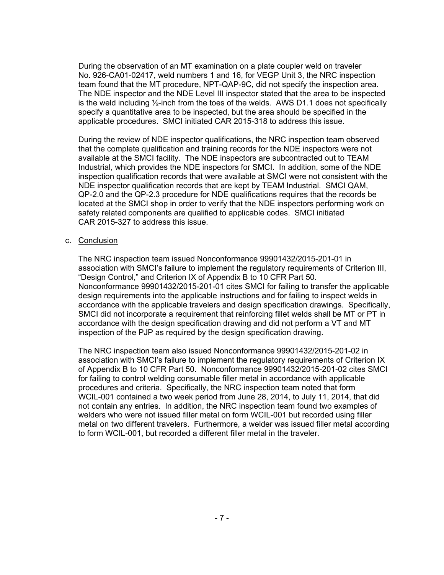During the observation of an MT examination on a plate coupler weld on traveler No. 926-CA01-02417, weld numbers 1 and 16, for VEGP Unit 3, the NRC inspection team found that the MT procedure, NPT-QAP-9C, did not specify the inspection area. The NDE inspector and the NDE Level III inspector stated that the area to be inspected is the weld including  $\frac{1}{2}$ -inch from the toes of the welds. AWS D1.1 does not specifically specify a quantitative area to be inspected, but the area should be specified in the applicable procedures. SMCI initiated CAR 2015-318 to address this issue.

During the review of NDE inspector qualifications, the NRC inspection team observed that the complete qualification and training records for the NDE inspectors were not available at the SMCI facility. The NDE inspectors are subcontracted out to TEAM Industrial, which provides the NDE inspectors for SMCI. In addition, some of the NDE inspection qualification records that were available at SMCI were not consistent with the NDE inspector qualification records that are kept by TEAM Industrial. SMCI QAM, QP-2.0 and the QP-2.3 procedure for NDE qualifications requires that the records be located at the SMCI shop in order to verify that the NDE inspectors performing work on safety related components are qualified to applicable codes. SMCI initiated CAR 2015-327 to address this issue.

### c. Conclusion

The NRC inspection team issued Nonconformance 99901432/2015-201-01 in association with SMCI's failure to implement the regulatory requirements of Criterion III, "Design Control," and Criterion IX of Appendix B to 10 CFR Part 50. Nonconformance 99901432/2015-201-01 cites SMCI for failing to transfer the applicable design requirements into the applicable instructions and for failing to inspect welds in accordance with the applicable travelers and design specification drawings. Specifically, SMCI did not incorporate a requirement that reinforcing fillet welds shall be MT or PT in accordance with the design specification drawing and did not perform a VT and MT inspection of the PJP as required by the design specification drawing.

The NRC inspection team also issued Nonconformance 99901432/2015-201-02 in association with SMCI's failure to implement the regulatory requirements of Criterion IX of Appendix B to 10 CFR Part 50. Nonconformance 99901432/2015-201-02 cites SMCI for failing to control welding consumable filler metal in accordance with applicable procedures and criteria. Specifically, the NRC inspection team noted that form WCIL-001 contained a two week period from June 28, 2014, to July 11, 2014, that did not contain any entries. In addition, the NRC inspection team found two examples of welders who were not issued filler metal on form WCIL-001 but recorded using filler metal on two different travelers. Furthermore, a welder was issued filler metal according to form WCIL-001, but recorded a different filler metal in the traveler.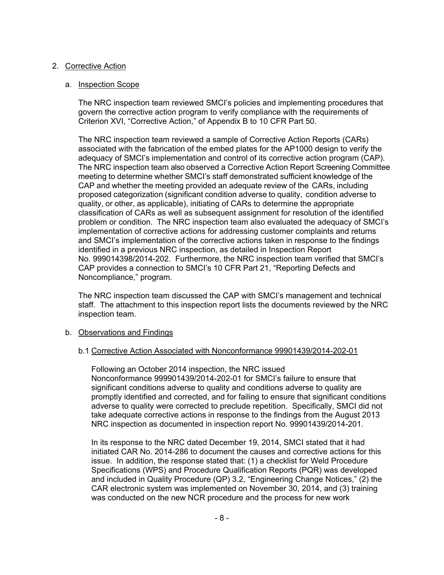## 2. Corrective Action

## a. Inspection Scope

The NRC inspection team reviewed SMCI's policies and implementing procedures that govern the corrective action program to verify compliance with the requirements of Criterion XVI, "Corrective Action," of Appendix B to 10 CFR Part 50.

The NRC inspection team reviewed a sample of Corrective Action Reports (CARs) associated with the fabrication of the embed plates for the AP1000 design to verify the adequacy of SMCI's implementation and control of its corrective action program (CAP). The NRC inspection team also observed a Corrective Action Report Screening Committee meeting to determine whether SMCI's staff demonstrated sufficient knowledge of the CAP and whether the meeting provided an adequate review of the CARs, including proposed categorization (significant condition adverse to quality, condition adverse to quality, or other, as applicable), initiating of CARs to determine the appropriate classification of CARs as well as subsequent assignment for resolution of the identified problem or condition. The NRC inspection team also evaluated the adequacy of SMCI's implementation of corrective actions for addressing customer complaints and returns and SMCI's implementation of the corrective actions taken in response to the findings identified in a previous NRC inspection, as detailed in Inspection Report No. 999014398/2014-202. Furthermore, the NRC inspection team verified that SMCI's CAP provides a connection to SMCI's 10 CFR Part 21, "Reporting Defects and Noncompliance," program.

The NRC inspection team discussed the CAP with SMCI's management and technical staff. The attachment to this inspection report lists the documents reviewed by the NRC inspection team.

## b. Observations and Findings

## b.1 Corrective Action Associated with Nonconformance 99901439/2014-202-01

Following an October 2014 inspection, the NRC issued Nonconformance 999901439/2014-202-01 for SMCI's failure to ensure that significant conditions adverse to quality and conditions adverse to quality are promptly identified and corrected, and for failing to ensure that significant conditions adverse to quality were corrected to preclude repetition. Specifically, SMCI did not take adequate corrective actions in response to the findings from the August 2013 NRC inspection as documented in inspection report No. 99901439/2014-201.

In its response to the NRC dated December 19, 2014, SMCI stated that it had initiated CAR No. 2014-286 to document the causes and corrective actions for this issue. In addition, the response stated that: (1) a checklist for Weld Procedure Specifications (WPS) and Procedure Qualification Reports (PQR) was developed and included in Quality Procedure (QP) 3.2, "Engineering Change Notices," (2) the CAR electronic system was implemented on November 30, 2014, and (3) training was conducted on the new NCR procedure and the process for new work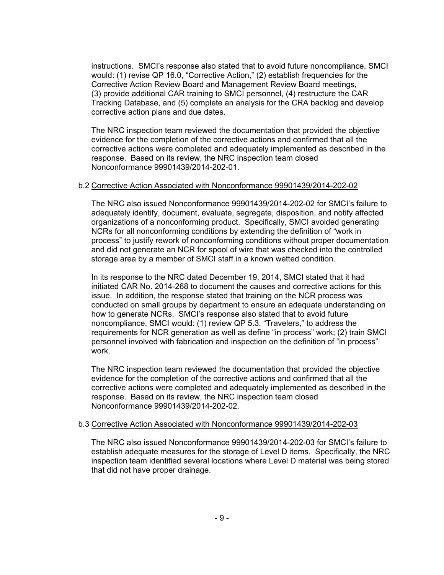instructions. SMCI's response also stated that to avoid future noncompliance, SMCI would: (1) revise QP 16.0, "Corrective Action," (2) establish frequencies for the Corrective Action Review Board and Management Review Board meetings, (3) provide additional CAR training to SMCI personnel, (4) restructure the CAR Tracking Database, and (5) complete an analysis for the CRA backlog and develop corrective action plans and due dates.

The NRC inspection team reviewed the documentation that provided the objective evidence for the completion of the corrective actions and confirmed that all the corrective actions were completed and adequately implemented as described in the response. Based on its review, the NRC inspection team closed Nonconformance 99901439/2014-202-01.

#### b.2 Corrective Action Associated with Nonconformance 99901439/2014-202-02

The NRC also issued Nonconformance 99901439/2014-202-02 for SMCI's failure to adequately identify, document, evaluate, segregate, disposition, and notify affected organizations of a nonconforming product. Specifically, SMCI avoided generating NCRs for all nonconforming conditions by extending the definition of "work in process" to justify rework of nonconforming conditions without proper documentation and did not generate an NCR for spool of wire that was checked into the controlled storage area by a member of SMCI staff in a known wetted condition.

In its response to the NRC dated December 19, 2014, SMCI stated that it had initiated CAR No. 2014-268 to document the causes and corrective actions for this issue. In addition, the response stated that training on the NCR process was conducted on small groups by department to ensure an adequate understanding on how to generate NCRs. SMCI's response also stated that to avoid future noncompliance, SMCI would: (1) review QP 5.3, "Travelers," to address the requirements for NCR generation as well as define "in process" work; (2) train SMCI personnel involved with fabrication and inspection on the definition of "in process" work.

The NRC inspection team reviewed the documentation that provided the objective evidence for the completion of the corrective actions and confirmed that all the corrective actions were completed and adequately implemented as described in the response. Based on its review, the NRC inspection team closed Nonconformance 99901439/2014-202-02.

#### b.3 Corrective Action Associated with Nonconformance 99901439/2014-202-03

The NRC also issued Nonconformance 99901439/2014-202-03 for SMCI's failure to establish adequate measures for the storage of Level D items. Specifically, the NRC inspection team identified several locations where Level D material was being stored that did not have proper drainage.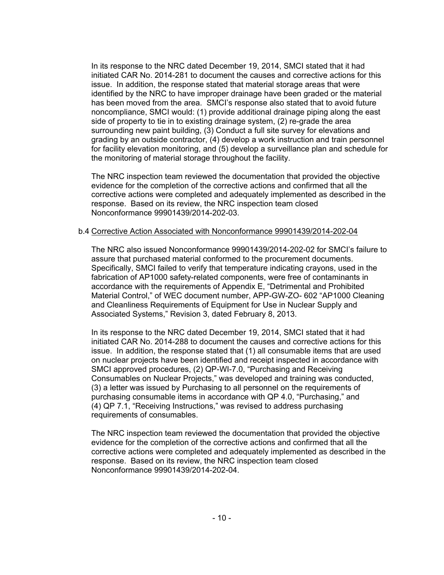In its response to the NRC dated December 19, 2014, SMCI stated that it had initiated CAR No. 2014-281 to document the causes and corrective actions for this issue. In addition, the response stated that material storage areas that were identified by the NRC to have improper drainage have been graded or the material has been moved from the area. SMCI's response also stated that to avoid future noncompliance, SMCI would: (1) provide additional drainage piping along the east side of property to tie in to existing drainage system, (2) re-grade the area surrounding new paint building, (3) Conduct a full site survey for elevations and grading by an outside contractor, (4) develop a work instruction and train personnel for facility elevation monitoring, and (5) develop a surveillance plan and schedule for the monitoring of material storage throughout the facility.

The NRC inspection team reviewed the documentation that provided the objective evidence for the completion of the corrective actions and confirmed that all the corrective actions were completed and adequately implemented as described in the response. Based on its review, the NRC inspection team closed Nonconformance 99901439/2014-202-03.

#### b.4 Corrective Action Associated with Nonconformance 99901439/2014-202-04

The NRC also issued Nonconformance 99901439/2014-202-02 for SMCI's failure to assure that purchased material conformed to the procurement documents. Specifically, SMCI failed to verify that temperature indicating crayons, used in the fabrication of AP1000 safety-related components, were free of contaminants in accordance with the requirements of Appendix E, "Detrimental and Prohibited Material Control," of WEC document number, APP-GW-ZO- 602 "AP1000 Cleaning and Cleanliness Requirements of Equipment for Use in Nuclear Supply and Associated Systems," Revision 3, dated February 8, 2013.

In its response to the NRC dated December 19, 2014, SMCI stated that it had initiated CAR No. 2014-288 to document the causes and corrective actions for this issue. In addition, the response stated that (1) all consumable items that are used on nuclear projects have been identified and receipt inspected in accordance with SMCI approved procedures, (2) QP-WI-7.0, "Purchasing and Receiving Consumables on Nuclear Projects," was developed and training was conducted, (3) a letter was issued by Purchasing to all personnel on the requirements of purchasing consumable items in accordance with QP 4.0, "Purchasing," and (4) QP 7.1, "Receiving Instructions," was revised to address purchasing requirements of consumables.

The NRC inspection team reviewed the documentation that provided the objective evidence for the completion of the corrective actions and confirmed that all the corrective actions were completed and adequately implemented as described in the response. Based on its review, the NRC inspection team closed Nonconformance 99901439/2014-202-04.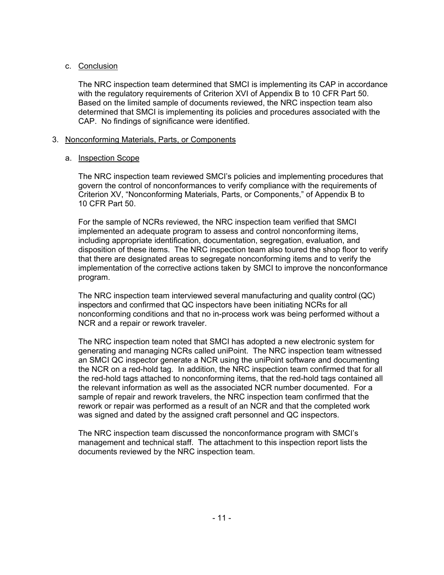## c. Conclusion

The NRC inspection team determined that SMCI is implementing its CAP in accordance with the regulatory requirements of Criterion XVI of Appendix B to 10 CFR Part 50. Based on the limited sample of documents reviewed, the NRC inspection team also determined that SMCI is implementing its policies and procedures associated with the CAP. No findings of significance were identified.

## 3. Nonconforming Materials, Parts, or Components

## a. Inspection Scope

The NRC inspection team reviewed SMCI's policies and implementing procedures that govern the control of nonconformances to verify compliance with the requirements of Criterion XV, "Nonconforming Materials, Parts, or Components," of Appendix B to 10 CFR Part 50.

For the sample of NCRs reviewed, the NRC inspection team verified that SMCI implemented an adequate program to assess and control nonconforming items, including appropriate identification, documentation, segregation, evaluation, and disposition of these items. The NRC inspection team also toured the shop floor to verify that there are designated areas to segregate nonconforming items and to verify the implementation of the corrective actions taken by SMCI to improve the nonconformance program.

The NRC inspection team interviewed several manufacturing and quality control (QC) inspectors and confirmed that QC inspectors have been initiating NCRs for all nonconforming conditions and that no in-process work was being performed without a NCR and a repair or rework traveler.

The NRC inspection team noted that SMCI has adopted a new electronic system for generating and managing NCRs called uniPoint. The NRC inspection team witnessed an SMCI QC inspector generate a NCR using the uniPoint software and documenting the NCR on a red-hold tag. In addition, the NRC inspection team confirmed that for all the red-hold tags attached to nonconforming items, that the red-hold tags contained all the relevant information as well as the associated NCR number documented. For a sample of repair and rework travelers, the NRC inspection team confirmed that the rework or repair was performed as a result of an NCR and that the completed work was signed and dated by the assigned craft personnel and QC inspectors.

The NRC inspection team discussed the nonconformance program with SMCI's management and technical staff. The attachment to this inspection report lists the documents reviewed by the NRC inspection team.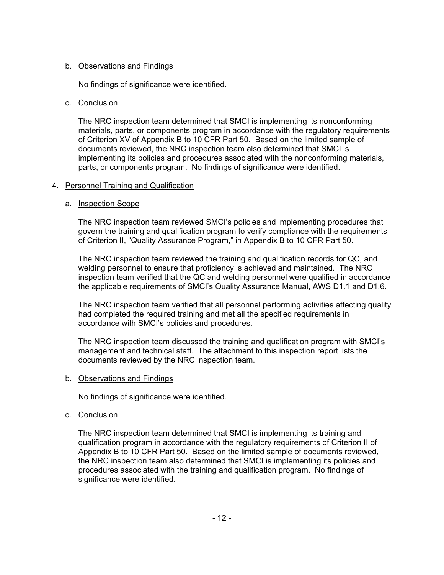## b. Observations and Findings

No findings of significance were identified.

## c. Conclusion

The NRC inspection team determined that SMCI is implementing its nonconforming materials, parts, or components program in accordance with the regulatory requirements of Criterion XV of Appendix B to 10 CFR Part 50. Based on the limited sample of documents reviewed, the NRC inspection team also determined that SMCI is implementing its policies and procedures associated with the nonconforming materials, parts, or components program. No findings of significance were identified.

## 4. Personnel Training and Qualification

## a. Inspection Scope

The NRC inspection team reviewed SMCI's policies and implementing procedures that govern the training and qualification program to verify compliance with the requirements of Criterion II, "Quality Assurance Program," in Appendix B to 10 CFR Part 50.

The NRC inspection team reviewed the training and qualification records for QC, and welding personnel to ensure that proficiency is achieved and maintained. The NRC inspection team verified that the QC and welding personnel were qualified in accordance the applicable requirements of SMCI's Quality Assurance Manual, AWS D1.1 and D1.6.

The NRC inspection team verified that all personnel performing activities affecting quality had completed the required training and met all the specified requirements in accordance with SMCI's policies and procedures.

The NRC inspection team discussed the training and qualification program with SMCI's management and technical staff. The attachment to this inspection report lists the documents reviewed by the NRC inspection team.

## b. Observations and Findings

No findings of significance were identified.

## c. Conclusion

The NRC inspection team determined that SMCI is implementing its training and qualification program in accordance with the regulatory requirements of Criterion II of Appendix B to 10 CFR Part 50. Based on the limited sample of documents reviewed, the NRC inspection team also determined that SMCI is implementing its policies and procedures associated with the training and qualification program. No findings of significance were identified.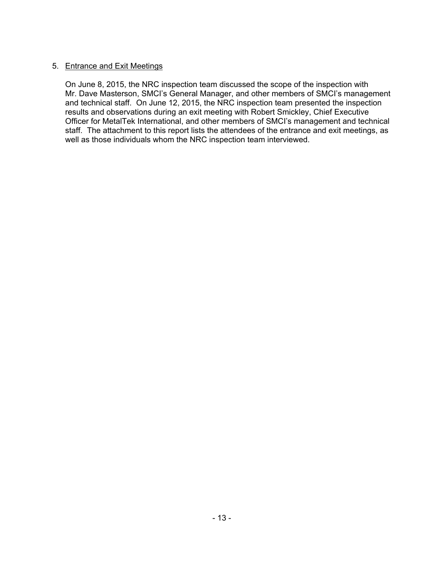## 5. Entrance and Exit Meetings

On June 8, 2015, the NRC inspection team discussed the scope of the inspection with Mr. Dave Masterson, SMCI's General Manager, and other members of SMCI's management and technical staff. On June 12, 2015, the NRC inspection team presented the inspection results and observations during an exit meeting with Robert Smickley, Chief Executive Officer for MetalTek International, and other members of SMCI's management and technical staff. The attachment to this report lists the attendees of the entrance and exit meetings, as well as those individuals whom the NRC inspection team interviewed.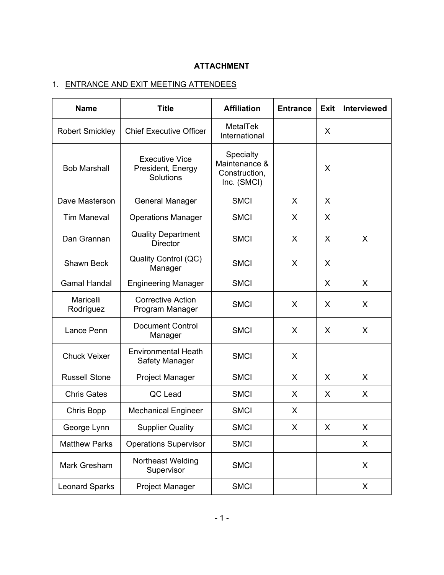# **ATTACHMENT**

# 1. ENTRANCE AND EXIT MEETING ATTENDEES

| <b>Name</b>            | <b>Title</b>                                            | <b>Affiliation</b>                                         | <b>Entrance</b> | <b>Exit</b> | <b>Interviewed</b> |  |
|------------------------|---------------------------------------------------------|------------------------------------------------------------|-----------------|-------------|--------------------|--|
| <b>Robert Smickley</b> | <b>Chief Executive Officer</b>                          | <b>MetalTek</b><br>International                           |                 | X           |                    |  |
| <b>Bob Marshall</b>    | <b>Executive Vice</b><br>President, Energy<br>Solutions | Specialty<br>Maintenance &<br>Construction,<br>Inc. (SMCI) |                 | X           |                    |  |
| Dave Masterson         | <b>General Manager</b>                                  | <b>SMCI</b>                                                | X               | X           |                    |  |
| <b>Tim Maneval</b>     | <b>Operations Manager</b>                               | <b>SMCI</b>                                                | X               | X           |                    |  |
| Dan Grannan            | <b>Quality Department</b><br><b>Director</b>            | <b>SMCI</b>                                                | X               | X           | X                  |  |
| <b>Shawn Beck</b>      | Quality Control (QC)<br>Manager                         | <b>SMCI</b>                                                | X               | X           |                    |  |
| <b>Gamal Handal</b>    | <b>Engineering Manager</b>                              | <b>SMCI</b>                                                |                 | X           | X                  |  |
| Maricelli<br>Rodríguez | <b>Corrective Action</b><br>Program Manager             | <b>SMCI</b>                                                | X               | X           | X                  |  |
| Lance Penn             | <b>Document Control</b><br>Manager                      | <b>SMCI</b>                                                | X               | X           | X                  |  |
| <b>Chuck Veixer</b>    | <b>Environmental Heath</b><br><b>Safety Manager</b>     | <b>SMCI</b>                                                | X               |             |                    |  |
| <b>Russell Stone</b>   | <b>Project Manager</b>                                  | <b>SMCI</b>                                                | X               | X           | X                  |  |
| <b>Chris Gates</b>     | QC Lead                                                 | <b>SMCI</b>                                                | X               | X           | X                  |  |
| Chris Bopp             | <b>Mechanical Engineer</b>                              | <b>SMCI</b>                                                | X               |             |                    |  |
| George Lynn            | <b>Supplier Quality</b>                                 | <b>SMCI</b>                                                | X               | X           | X                  |  |
| <b>Matthew Parks</b>   | <b>Operations Supervisor</b>                            | <b>SMCI</b>                                                |                 |             | X                  |  |
| Mark Gresham           | Northeast Welding<br>Supervisor                         | <b>SMCI</b>                                                |                 |             | X                  |  |
| <b>Leonard Sparks</b>  | <b>Project Manager</b>                                  | <b>SMCI</b>                                                |                 |             | X                  |  |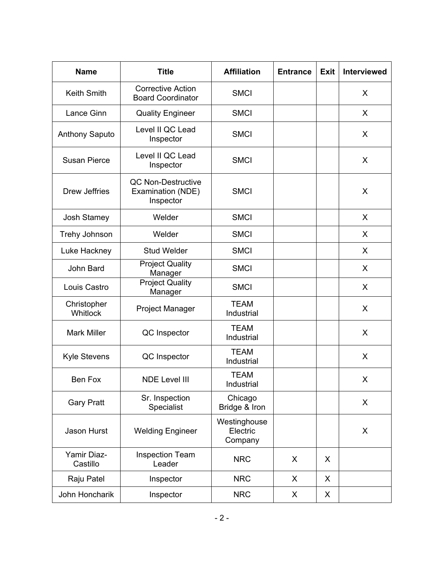| <b>Name</b>             | <b>Title</b>                                                | <b>Affiliation</b>                  | <b>Entrance</b> | <b>Exit</b> | <b>Interviewed</b> |
|-------------------------|-------------------------------------------------------------|-------------------------------------|-----------------|-------------|--------------------|
| <b>Keith Smith</b>      | <b>Corrective Action</b><br><b>Board Coordinator</b>        | <b>SMCI</b>                         |                 |             | X                  |
| Lance Ginn              | <b>Quality Engineer</b>                                     | <b>SMCI</b>                         |                 |             | X                  |
| <b>Anthony Saputo</b>   | Level II QC Lead<br>Inspector                               | <b>SMCI</b>                         |                 |             | X                  |
| <b>Susan Pierce</b>     | Level II QC Lead<br>Inspector                               | <b>SMCI</b>                         |                 |             | X                  |
| Drew Jeffries           | <b>QC Non-Destructive</b><br>Examination (NDE)<br>Inspector | <b>SMCI</b>                         |                 |             | X                  |
| <b>Josh Stamey</b>      | Welder                                                      | <b>SMCI</b>                         |                 |             | X                  |
| Trehy Johnson           | Welder                                                      | <b>SMCI</b>                         |                 |             | X                  |
| Luke Hackney            | <b>Stud Welder</b>                                          | <b>SMCI</b>                         |                 |             | X                  |
| John Bard               | <b>Project Quality</b><br>Manager                           | <b>SMCI</b>                         |                 |             | X                  |
| Louis Castro            | <b>Project Quality</b><br>Manager                           | <b>SMCI</b>                         |                 |             | X                  |
| Christopher<br>Whitlock | <b>Project Manager</b>                                      | <b>TEAM</b><br>Industrial           |                 |             | X                  |
| <b>Mark Miller</b>      | QC Inspector                                                | <b>TEAM</b><br>Industrial           |                 |             | X                  |
| <b>Kyle Stevens</b>     | QC Inspector                                                | <b>TEAM</b><br>Industrial           |                 |             | X                  |
| Ben Fox                 | <b>NDE Level III</b>                                        | <b>TEAM</b><br>Industrial           |                 |             | X                  |
| <b>Gary Pratt</b>       | Sr. Inspection<br>Specialist                                | Chicago<br>Bridge & Iron            |                 |             | X                  |
| Jason Hurst             | <b>Welding Engineer</b>                                     | Westinghouse<br>Electric<br>Company |                 |             | X                  |
| Yamir Diaz-<br>Castillo | <b>Inspection Team</b><br>Leader                            | <b>NRC</b>                          | X               | X           |                    |
| Raju Patel              | Inspector                                                   | <b>NRC</b>                          | X               | X           |                    |
| John Honcharik          | Inspector                                                   | <b>NRC</b>                          | X               | X           |                    |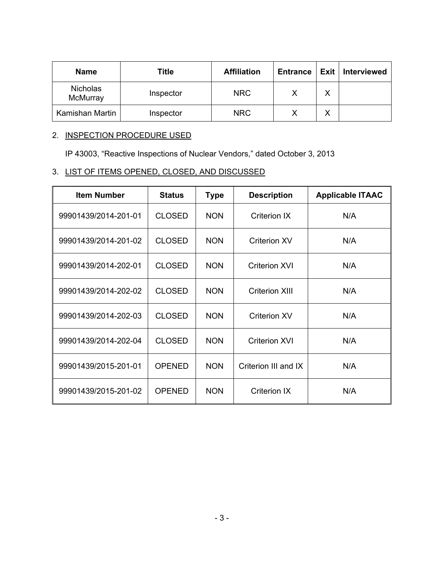| <b>Name</b>                 | Title     | <b>Affiliation</b> | <b>Entrance</b> | Exit        | <b>Interviewed</b> |
|-----------------------------|-----------|--------------------|-----------------|-------------|--------------------|
| <b>Nicholas</b><br>McMurray | Inspector | <b>NRC</b>         |                 | $\check{ }$ |                    |
| Kamishan Martin             | Inspector | <b>NRC</b>         |                 | $\check{ }$ |                    |

## 2. INSPECTION PROCEDURE USED

IP 43003, "Reactive Inspections of Nuclear Vendors," dated October 3, 2013

## 3. LIST OF ITEMS OPENED, CLOSED, AND DISCUSSED

| <b>Item Number</b>   | <b>Status</b> | <b>Type</b> | <b>Description</b>    | <b>Applicable ITAAC</b> |
|----------------------|---------------|-------------|-----------------------|-------------------------|
| 99901439/2014-201-01 | <b>CLOSED</b> | <b>NON</b>  | <b>Criterion IX</b>   | N/A                     |
| 99901439/2014-201-02 | <b>CLOSED</b> | <b>NON</b>  | <b>Criterion XV</b>   | N/A                     |
| 99901439/2014-202-01 | <b>CLOSED</b> | <b>NON</b>  | <b>Criterion XVI</b>  | N/A                     |
| 99901439/2014-202-02 | <b>CLOSED</b> | <b>NON</b>  | <b>Criterion XIII</b> | N/A                     |
| 99901439/2014-202-03 | <b>CLOSED</b> | <b>NON</b>  | <b>Criterion XV</b>   | N/A                     |
| 99901439/2014-202-04 | <b>CLOSED</b> | <b>NON</b>  | <b>Criterion XVI</b>  | N/A                     |
| 99901439/2015-201-01 | <b>OPENED</b> | <b>NON</b>  | Criterion III and IX  | N/A                     |
| 99901439/2015-201-02 | <b>OPENED</b> | <b>NON</b>  | <b>Criterion IX</b>   | N/A                     |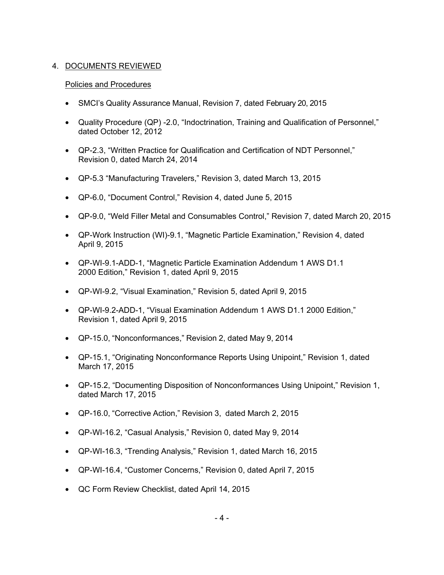## 4. DOCUMENTS REVIEWED

### Policies and Procedures

- SMCI's Quality Assurance Manual, Revision 7, dated February 20, 2015
- Quality Procedure (QP) -2.0, "Indoctrination, Training and Qualification of Personnel," dated October 12, 2012
- QP-2.3, "Written Practice for Qualification and Certification of NDT Personnel," Revision 0, dated March 24, 2014
- QP-5.3 "Manufacturing Travelers," Revision 3, dated March 13, 2015
- QP-6.0, "Document Control," Revision 4, dated June 5, 2015
- QP-9.0, "Weld Filler Metal and Consumables Control," Revision 7, dated March 20, 2015
- QP-Work Instruction (WI)-9.1, "Magnetic Particle Examination," Revision 4, dated April 9, 2015
- QP-WI-9.1-ADD-1, "Magnetic Particle Examination Addendum 1 AWS D1.1 2000 Edition," Revision 1, dated April 9, 2015
- QP-WI-9.2, "Visual Examination," Revision 5, dated April 9, 2015
- QP-WI-9.2-ADD-1, "Visual Examination Addendum 1 AWS D1.1 2000 Edition," Revision 1, dated April 9, 2015
- QP-15.0, "Nonconformances," Revision 2, dated May 9, 2014
- QP-15.1, "Originating Nonconformance Reports Using Unipoint," Revision 1, dated March 17, 2015
- QP-15.2, "Documenting Disposition of Nonconformances Using Unipoint," Revision 1, dated March 17, 2015
- QP-16.0, "Corrective Action," Revision 3, dated March 2, 2015
- QP-WI-16.2, "Casual Analysis," Revision 0, dated May 9, 2014
- QP-WI-16.3, "Trending Analysis," Revision 1, dated March 16, 2015
- QP-WI-16.4, "Customer Concerns," Revision 0, dated April 7, 2015
- QC Form Review Checklist, dated April 14, 2015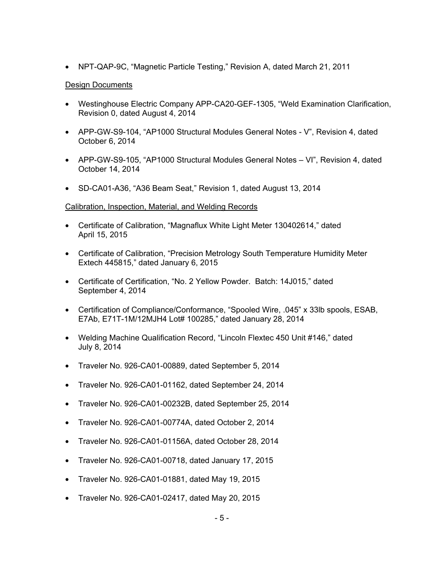• NPT-QAP-9C, "Magnetic Particle Testing," Revision A, dated March 21, 2011

### Design Documents

- Westinghouse Electric Company APP-CA20-GEF-1305, "Weld Examination Clarification, Revision 0, dated August 4, 2014
- APP-GW-S9-104, "AP1000 Structural Modules General Notes V", Revision 4, dated October 6, 2014
- APP-GW-S9-105, "AP1000 Structural Modules General Notes VI", Revision 4, dated October 14, 2014
- SD-CA01-A36, "A36 Beam Seat," Revision 1, dated August 13, 2014

### Calibration, Inspection, Material, and Welding Records

- Certificate of Calibration, "Magnaflux White Light Meter 130402614," dated April 15, 2015
- Certificate of Calibration, "Precision Metrology South Temperature Humidity Meter Extech 445815," dated January 6, 2015
- Certificate of Certification, "No. 2 Yellow Powder. Batch: 14J015," dated September 4, 2014
- Certification of Compliance/Conformance, "Spooled Wire, .045" x 33lb spools, ESAB, E7Ab, E71T-1M/12MJH4 Lot# 100285," dated January 28, 2014
- Welding Machine Qualification Record, "Lincoln Flextec 450 Unit #146," dated July 8, 2014
- Traveler No. 926-CA01-00889, dated September 5, 2014
- Traveler No. 926-CA01-01162, dated September 24, 2014
- Traveler No. 926-CA01-00232B, dated September 25, 2014
- Traveler No. 926-CA01-00774A, dated October 2, 2014
- Traveler No. 926-CA01-01156A, dated October 28, 2014
- Traveler No. 926-CA01-00718, dated January 17, 2015
- Traveler No. 926-CA01-01881, dated May 19, 2015
- Traveler No. 926-CA01-02417, dated May 20, 2015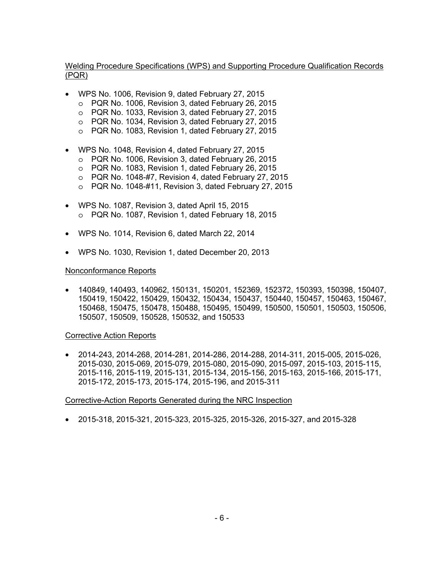### Welding Procedure Specifications (WPS) and Supporting Procedure Qualification Records (PQR)

- WPS No. 1006, Revision 9, dated February 27, 2015
	- o PQR No. 1006, Revision 3, dated February 26, 2015
	- o PQR No. 1033, Revision 3, dated February 27, 2015
	- o PQR No. 1034, Revision 3, dated February 27, 2015
	- o PQR No. 1083, Revision 1, dated February 27, 2015
- WPS No. 1048, Revision 4, dated February 27, 2015
	- o PQR No. 1006, Revision 3, dated February 26, 2015
	- o PQR No. 1083, Revision 1, dated February 26, 2015
	- o PQR No. 1048-#7, Revision 4, dated February 27, 2015
	- o PQR No. 1048-#11, Revision 3, dated February 27, 2015
- WPS No. 1087, Revision 3, dated April 15, 2015 o PQR No. 1087, Revision 1, dated February 18, 2015
- WPS No. 1014, Revision 6, dated March 22, 2014
- WPS No. 1030, Revision 1, dated December 20, 2013

#### Nonconformance Reports

• 140849, 140493, 140962, 150131, 150201, 152369, 152372, 150393, 150398, 150407, 150419, 150422, 150429, 150432, 150434, 150437, 150440, 150457, 150463, 150467, 150468, 150475, 150478, 150488, 150495, 150499, 150500, 150501, 150503, 150506, 150507, 150509, 150528, 150532, and 150533

#### Corrective Action Reports

• 2014-243, 2014-268, 2014-281, 2014-286, 2014-288, 2014-311, 2015-005, 2015-026, 2015-030, 2015-069, 2015-079, 2015-080, 2015-090, 2015-097, 2015-103, 2015-115, 2015-116, 2015-119, 2015-131, 2015-134, 2015-156, 2015-163, 2015-166, 2015-171, 2015-172, 2015-173, 2015-174, 2015-196, and 2015-311

#### Corrective-Action Reports Generated during the NRC Inspection

• 2015-318, 2015-321, 2015-323, 2015-325, 2015-326, 2015-327, and 2015-328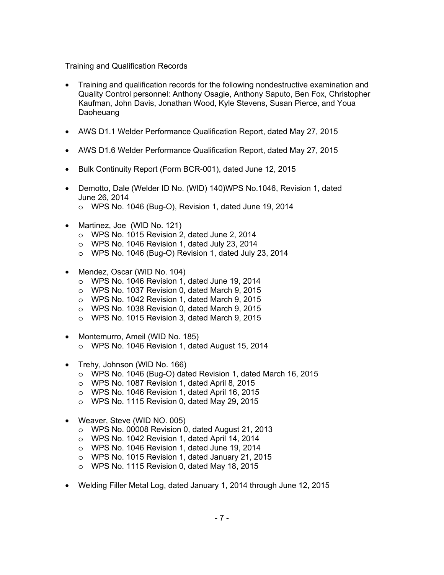### Training and Qualification Records

- Training and qualification records for the following nondestructive examination and Quality Control personnel: Anthony Osagie, Anthony Saputo, Ben Fox, Christopher Kaufman, John Davis, Jonathan Wood, Kyle Stevens, Susan Pierce, and Youa Daoheuang
- AWS D1.1 Welder Performance Qualification Report, dated May 27, 2015
- AWS D1.6 Welder Performance Qualification Report, dated May 27, 2015
- Bulk Continuity Report (Form BCR-001), dated June 12, 2015
- Demotto, Dale (Welder ID No. (WID) 140)WPS No.1046, Revision 1, dated June 26, 2014
	- o WPS No. 1046 (Bug-O), Revision 1, dated June 19, 2014
- Martinez, Joe (WID No. 121)
	- o WPS No. 1015 Revision 2, dated June 2, 2014
	- o WPS No. 1046 Revision 1, dated July 23, 2014
	- o WPS No. 1046 (Bug-O) Revision 1, dated July 23, 2014
- Mendez, Oscar (WID No. 104)
	- o WPS No. 1046 Revision 1, dated June 19, 2014
	- o WPS No. 1037 Revision 0, dated March 9, 2015
	- o WPS No. 1042 Revision 1, dated March 9, 2015
	- o WPS No. 1038 Revision 0, dated March 9, 2015
	- o WPS No. 1015 Revision 3, dated March 9, 2015
- Montemurro, Ameil (WID No. 185) o WPS No. 1046 Revision 1, dated August 15, 2014
- Trehy, Johnson (WID No. 166)
	- o WPS No. 1046 (Bug-O) dated Revision 1, dated March 16, 2015
	- o WPS No. 1087 Revision 1, dated April 8, 2015
	- o WPS No. 1046 Revision 1, dated April 16, 2015
	- o WPS No. 1115 Revision 0, dated May 29, 2015
- Weaver, Steve (WID NO. 005)
	- o WPS No. 00008 Revision 0, dated August 21, 2013
	- o WPS No. 1042 Revision 1, dated April 14, 2014
	- o WPS No. 1046 Revision 1, dated June 19, 2014
	- o WPS No. 1015 Revision 1, dated January 21, 2015
	- o WPS No. 1115 Revision 0, dated May 18, 2015
- Welding Filler Metal Log, dated January 1, 2014 through June 12, 2015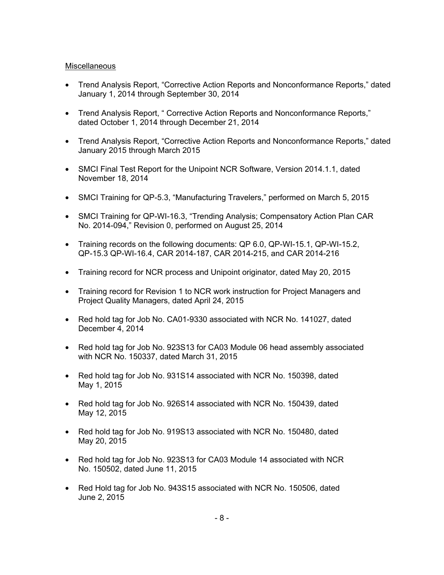### Miscellaneous

- Trend Analysis Report, "Corrective Action Reports and Nonconformance Reports," dated January 1, 2014 through September 30, 2014
- Trend Analysis Report, " Corrective Action Reports and Nonconformance Reports," dated October 1, 2014 through December 21, 2014
- Trend Analysis Report, "Corrective Action Reports and Nonconformance Reports," dated January 2015 through March 2015
- SMCI Final Test Report for the Unipoint NCR Software, Version 2014.1.1, dated November 18, 2014
- SMCI Training for QP-5.3, "Manufacturing Travelers," performed on March 5, 2015
- SMCI Training for QP-WI-16.3, "Trending Analysis; Compensatory Action Plan CAR No. 2014-094," Revision 0, performed on August 25, 2014
- Training records on the following documents: QP 6.0, QP-WI-15.1, QP-WI-15.2, QP-15.3 QP-WI-16.4, CAR 2014-187, CAR 2014-215, and CAR 2014-216
- Training record for NCR process and Unipoint originator, dated May 20, 2015
- Training record for Revision 1 to NCR work instruction for Project Managers and Project Quality Managers, dated April 24, 2015
- Red hold tag for Job No. CA01-9330 associated with NCR No. 141027, dated December 4, 2014
- Red hold tag for Job No. 923S13 for CA03 Module 06 head assembly associated with NCR No. 150337, dated March 31, 2015
- Red hold tag for Job No. 931S14 associated with NCR No. 150398, dated May 1, 2015
- Red hold tag for Job No. 926S14 associated with NCR No. 150439, dated May 12, 2015
- Red hold tag for Job No. 919S13 associated with NCR No. 150480, dated May 20, 2015
- Red hold tag for Job No. 923S13 for CA03 Module 14 associated with NCR No. 150502, dated June 11, 2015
- Red Hold tag for Job No. 943S15 associated with NCR No. 150506, dated June 2, 2015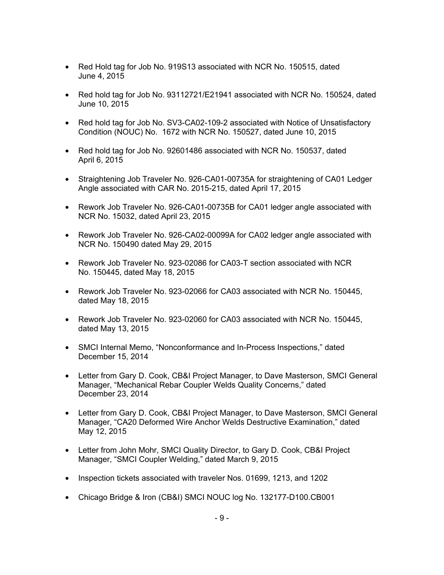- Red Hold tag for Job No. 919S13 associated with NCR No. 150515, dated June 4, 2015
- Red hold tag for Job No. 93112721/E21941 associated with NCR No. 150524, dated June 10, 2015
- Red hold tag for Job No. SV3-CA02-109-2 associated with Notice of Unsatisfactory Condition (NOUC) No. 1672 with NCR No. 150527, dated June 10, 2015
- Red hold tag for Job No. 92601486 associated with NCR No. 150537, dated April 6, 2015
- Straightening Job Traveler No. 926-CA01-00735A for straightening of CA01 Ledger Angle associated with CAR No. 2015-215, dated April 17, 2015
- Rework Job Traveler No. 926-CA01-00735B for CA01 ledger angle associated with NCR No. 15032, dated April 23, 2015
- Rework Job Traveler No. 926-CA02-00099A for CA02 ledger angle associated with NCR No. 150490 dated May 29, 2015
- Rework Job Traveler No. 923-02086 for CA03-T section associated with NCR No. 150445, dated May 18, 2015
- Rework Job Traveler No. 923-02066 for CA03 associated with NCR No. 150445, dated May 18, 2015
- Rework Job Traveler No. 923-02060 for CA03 associated with NCR No. 150445, dated May 13, 2015
- SMCI Internal Memo, "Nonconformance and In-Process Inspections," dated December 15, 2014
- Letter from Gary D. Cook, CB&I Project Manager, to Dave Masterson, SMCI General Manager, "Mechanical Rebar Coupler Welds Quality Concerns," dated December 23, 2014
- Letter from Gary D. Cook, CB&I Project Manager, to Dave Masterson, SMCI General Manager, "CA20 Deformed Wire Anchor Welds Destructive Examination," dated May 12, 2015
- Letter from John Mohr, SMCI Quality Director, to Gary D. Cook, CB&I Project Manager, "SMCI Coupler Welding," dated March 9, 2015
- Inspection tickets associated with traveler Nos. 01699, 1213, and 1202
- Chicago Bridge & Iron (CB&I) SMCI NOUC log No. 132177-D100.CB001